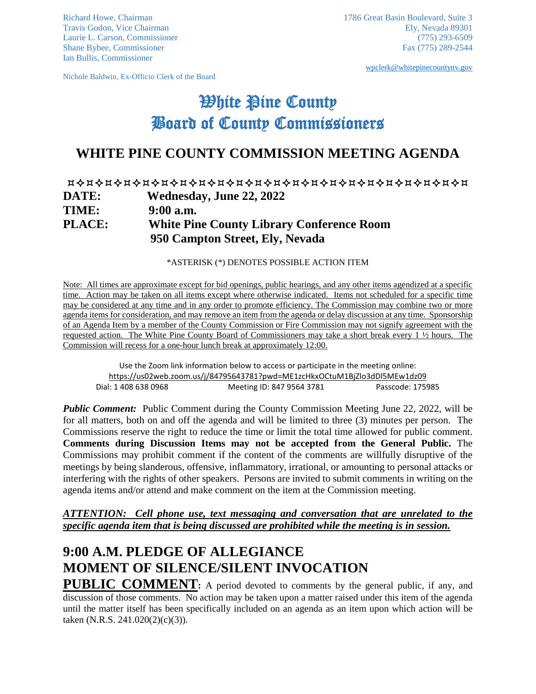Ian Bullis, Commissioner

Nichole Baldwin, Ex-Officio Clerk of the Board

[wpclerk@whitepinecountynv.gov](mailto:wpclerk@whitepinecountynv.gov)

# **White Pine County** Board of County Commissioners

## **WHITE PINE COUNTY COMMISSION MEETING AGENDA**

#### **DATE: Wednesday, June 22, 2022 TIME: 9:00 a.m. PLACE: White Pine County Library Conference Room 950 Campton Street, Ely, Nevada**

\*ASTERISK (\*) DENOTES POSSIBLE ACTION ITEM

Note: All times are approximate except for bid openings, public hearings, and any other items agendized at a specific time. Action may be taken on all items except where otherwise indicated. Items not scheduled for a specific time may be considered at any time and in any order to promote efficiency. The Commission may combine two or more agenda items for consideration, and may remove an item from the agenda or delay discussion at any time. Sponsorship of an Agenda Item by a member of the County Commission or Fire Commission may not signify agreement with the requested action. The White Pine County Board of Commissioners may take a short break every 1 ½ hours. The Commission will recess for a one-hour lunch break at approximately 12:00.

Use the Zoom link information below to access or participate in the meeting online: <https://us02web.zoom.us/j/84795643781?pwd=ME1zcHkxOCtuM1BjZlo3dDl5MEw1dz09> Dial: 1 408 638 0968 Meeting ID: 847 9564 3781 Passcode: 175985

*Public Comment:* Public Comment during the County Commission Meeting June 22, 2022, will be for all matters, both on and off the agenda and will be limited to three (3) minutes per person. The Commissions reserve the right to reduce the time or limit the total time allowed for public comment. **Comments during Discussion Items may not be accepted from the General Public.** The Commissions may prohibit comment if the content of the comments are willfully disruptive of the meetings by being slanderous, offensive, inflammatory, irrational, or amounting to personal attacks or interfering with the rights of other speakers. Persons are invited to submit comments in writing on the agenda items and/or attend and make comment on the item at the Commission meeting.

#### *ATTENTION: Cell phone use, text messaging and conversation that are unrelated to the specific agenda item that is being discussed are prohibited while the meeting is in session.*

## **9:00 A.M. PLEDGE OF ALLEGIANCE MOMENT OF SILENCE/SILENT INVOCATION**

PUBLIC COMMENT: A period devoted to comments by the general public, if any, and discussion of those comments. No action may be taken upon a matter raised under this item of the agenda until the matter itself has been specifically included on an agenda as an item upon which action will be taken (N.R.S. 241.020(2)(c)(3)).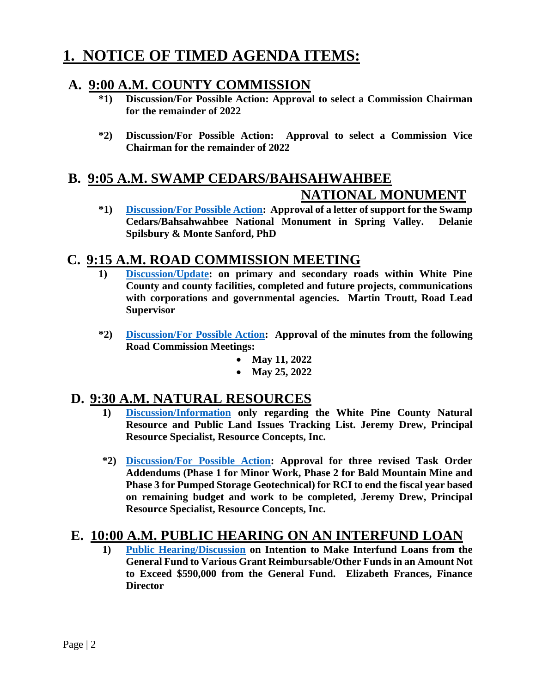# **1. NOTICE OF TIMED AGENDA ITEMS:**

## **A. 9:00 A.M. COUNTY COMMISSION**

- **\*1) Discussion/For Possible Action: Approval to select a Commission Chairman for the remainder of 2022**
- **\*2) Discussion/For Possible Action: Approval to select a Commission Vice Chairman for the remainder of 2022**

## **B. 9:05 A.M. SWAMP CEDARS/BAHSAHWAHBEE NATIONAL MONUMENT**

**\*1) [Discussion/For Possible Action:](https://www.whitepinecounty.net/DocumentCenter/View/8151/1b1) Approval of a letter of support for the Swamp Cedars/Bahsahwahbee National Monument in Spring Valley. Delanie Spilsbury & Monte Sanford, PhD**

## **C. 9:15 A.M. ROAD COMMISSION MEETING**

- **1) [Discussion/Update:](https://www.whitepinecounty.net/DocumentCenter/View/8152/1c1) on primary and secondary roads within White Pine County and county facilities, completed and future projects, communications with corporations and governmental agencies. Martin Troutt, Road Lead Supervisor**
- **\*2) [Discussion/For Possible Action:](https://www.whitepinecounty.net/DocumentCenter/View/8153/1c2) Approval of the minutes from the following Road Commission Meetings:**
	- **May 11, 2022**
	- **May 25, 2022**

## **D. 9:30 A.M. NATURAL RESOURCES**

- **1) [Discussion/Information](https://www.whitepinecounty.net/DocumentCenter/View/8154/1d1) only regarding the White Pine County Natural Resource and Public Land Issues Tracking List. Jeremy Drew, Principal Resource Specialist, Resource Concepts, Inc.**
- **\*2) [Discussion/For Possible Action:](https://www.whitepinecounty.net/DocumentCenter/View/8155/1d2) Approval for three revised Task Order Addendums (Phase 1 for Minor Work, Phase 2 for Bald Mountain Mine and Phase 3 for Pumped Storage Geotechnical) for RCI to end the fiscal year based on remaining budget and work to be completed, Jeremy Drew, Principal Resource Specialist, Resource Concepts, Inc.**

## **E. 10:00 A.M. PUBLIC HEARING ON AN INTERFUND LOAN**

**1) [Public Hearing/Discussion](https://www.whitepinecounty.net/DocumentCenter/View/8156/1e1) on Intention to Make Interfund Loans from the General Fund to Various Grant Reimbursable/Other Funds in an Amount Not to Exceed \$590,000 from the General Fund. Elizabeth Frances, Finance Director**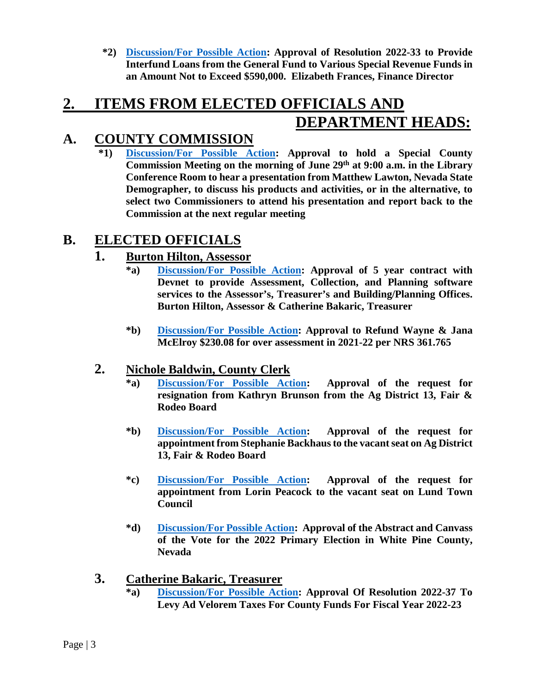**\*2) [Discussion/For Possible Action:](https://www.whitepinecounty.net/DocumentCenter/View/8157/1e2) Approval of Resolution 2022-33 to Provide Interfund Loans from the General Fund to Various Special Revenue Funds in an Amount Not to Exceed \$590,000. Elizabeth Frances, Finance Director**

## **2. ITEMS FROM ELECTED OFFICIALS AND DEPARTMENT HEADS:**

## **A. COUNTY COMMISSION**

**\*1) [Discussion/For Possible Action:](https://www.whitepinecounty.net/DocumentCenter/View/8158/2a1) Approval to hold a Special County Commission Meeting on the morning of June 29th at 9:00 a.m. in the Library Conference Room to hear a presentation from Matthew Lawton, Nevada State Demographer, to discuss his products and activities, or in the alternative, to select two Commissioners to attend his presentation and report back to the Commission at the next regular meeting**

## **B. ELECTED OFFICIALS**

### **1. Burton Hilton, Assessor**

- **\*a) [Discussion/For Possible Action:](https://www.whitepinecounty.net/DocumentCenter/View/8159/2b1a) Approval of 5 year contract with Devnet to provide Assessment, Collection, and Planning software services to the Assessor's, Treasurer's and Building/Planning Offices. Burton Hilton, Assessor & Catherine Bakaric, Treasurer**
- **\*b) [Discussion/For Possible Action:](https://www.whitepinecounty.net/DocumentCenter/View/8160/2b1b) Approval to Refund Wayne & Jana McElroy \$230.08 for over assessment in 2021-22 per NRS 361.765**

### **2. Nichole Baldwin, County Clerk**

- **\*a) [Discussion/For Possible Action:](https://www.whitepinecounty.net/DocumentCenter/View/8161/2b2a) Approval of the request for resignation from Kathryn Brunson from the Ag District 13, Fair & Rodeo Board**
- **\*b) [Discussion/For Possible Action:](https://www.whitepinecounty.net/DocumentCenter/View/8162/2b2b) Approval of the request for appointment from Stephanie Backhaus to the vacant seat on Ag District 13, Fair & Rodeo Board**
- **\*c) [Discussion/For Possible Action:](https://www.whitepinecounty.net/DocumentCenter/View/8163/2b2c) Approval of the request for appointment from Lorin Peacock to the vacant seat on Lund Town Council**
- **\*d) [Discussion/For Possible Action:](https://www.whitepinecounty.net/DocumentCenter/View/8164/2b2d) Approval of the Abstract and Canvass of the Vote for the 2022 Primary Election in White Pine County, Nevada**

### **3. Catherine Bakaric, Treasurer**

**\*a) [Discussion/For Possible Action:](https://www.whitepinecounty.net/DocumentCenter/View/8165/2b3a) Approval Of Resolution 2022-37 To Levy Ad Velorem Taxes For County Funds For Fiscal Year 2022-23**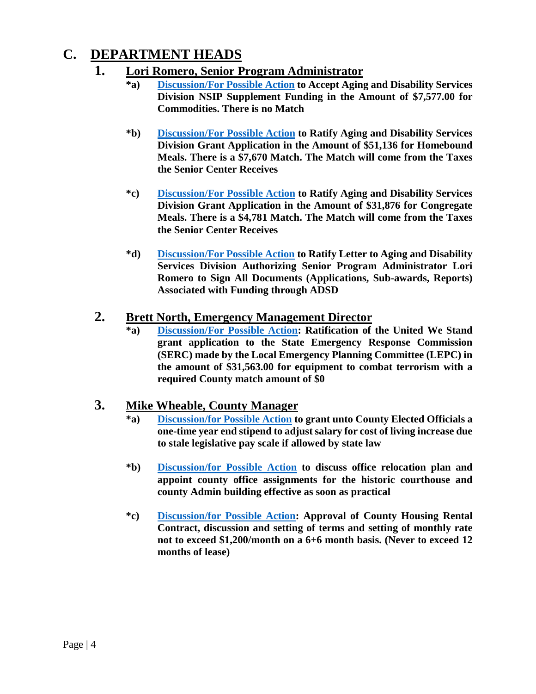## **C. DEPARTMENT HEADS**

- **1. Lori Romero, Senior Program Administrator**
	- **\*a) [Discussion/For Possible Action](https://www.whitepinecounty.net/DocumentCenter/View/8166/2c1a) to Accept Aging and Disability Services Division NSIP Supplement Funding in the Amount of \$7,577.00 for Commodities. There is no Match**
	- **\*b) [Discussion/For Possible Action](https://www.whitepinecounty.net/DocumentCenter/View/8167/2c1b) to Ratify Aging and Disability Services Division Grant Application in the Amount of \$51,136 for Homebound Meals. There is a \$7,670 Match. The Match will come from the Taxes the Senior Center Receives**
	- **\*c) [Discussion/For Possible Action](https://www.whitepinecounty.net/DocumentCenter/View/8168/2c1c) to Ratify Aging and Disability Services Division Grant Application in the Amount of \$31,876 for Congregate Meals. There is a \$4,781 Match. The Match will come from the Taxes the Senior Center Receives**
	- **\*d) [Discussion/For Possible Action](https://www.whitepinecounty.net/DocumentCenter/View/8169/2c1d) to Ratify Letter to Aging and Disability Services Division Authorizing Senior Program Administrator Lori Romero to Sign All Documents (Applications, Sub-awards, Reports) Associated with Funding through ADSD**

#### **2. Brett North, Emergency Management Director**

**\*a) [Discussion/For Possible Action:](https://www.whitepinecounty.net/DocumentCenter/View/8170/2c2a) Ratification of the United We Stand grant application to the State Emergency Response Commission (SERC) made by the Local Emergency Planning Committee (LEPC) in the amount of \$31,563.00 for equipment to combat terrorism with a required County match amount of \$0**

#### **3. Mike Wheable, County Manager**

- **\*a) [Discussion/for Possible Action](https://www.whitepinecounty.net/DocumentCenter/View/8171/2c3a) to grant unto County Elected Officials a one-time year end stipend to adjust salary for cost of living increase due to stale legislative pay scale if allowed by state law**
- **\*b) [Discussion/for Possible Action](https://www.whitepinecounty.net/DocumentCenter/View/8172/2c3b) to discuss office relocation plan and appoint county office assignments for the historic courthouse and county Admin building effective as soon as practical**
- **\*c) [Discussion/for Possible Action:](https://www.whitepinecounty.net/DocumentCenter/View/8173/2c3c) Approval of County Housing Rental Contract, discussion and setting of terms and setting of monthly rate not to exceed \$1,200/month on a 6+6 month basis. (Never to exceed 12 months of lease)**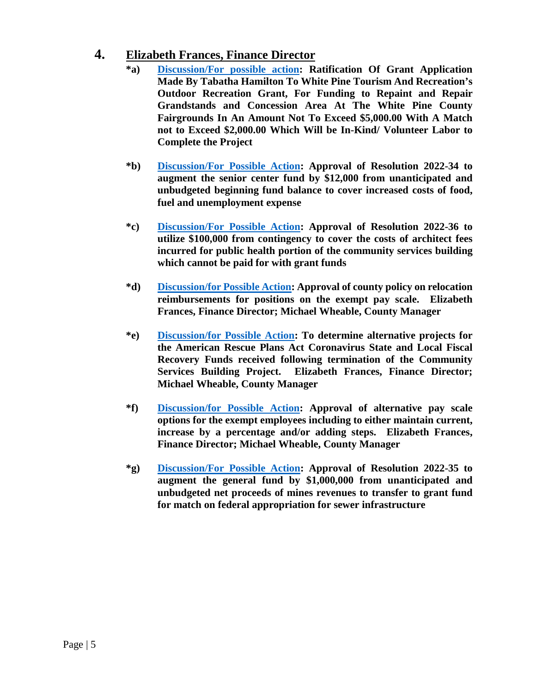#### **4. Elizabeth Frances, Finance Director**

- **\*a) [Discussion/For possible action:](https://www.whitepinecounty.net/DocumentCenter/View/8174/2c4a) Ratification Of Grant Application Made By Tabatha Hamilton To White Pine Tourism And Recreation's Outdoor Recreation Grant, For Funding to Repaint and Repair Grandstands and Concession Area At The White Pine County Fairgrounds In An Amount Not To Exceed \$5,000.00 With A Match not to Exceed \$2,000.00 Which Will be In-Kind/ Volunteer Labor to Complete the Project**
- **\*b) [Discussion/For Possible Action:](https://www.whitepinecounty.net/DocumentCenter/View/8175/2c4b) Approval of Resolution 2022-34 to augment the senior center fund by \$12,000 from unanticipated and unbudgeted beginning fund balance to cover increased costs of food, fuel and unemployment expense**
- **\*c) [Discussion/For Possible Action:](https://www.whitepinecounty.net/DocumentCenter/View/8176/2c4c) Approval of Resolution 2022-36 to utilize \$100,000 from contingency to cover the costs of architect fees incurred for public health portion of the community services building which cannot be paid for with grant funds**
- **\*d) [Discussion/for Possible Action:](https://www.whitepinecounty.net/DocumentCenter/View/8177/2c4d) Approval of county policy on relocation reimbursements for positions on the exempt pay scale. Elizabeth Frances, Finance Director; Michael Wheable, County Manager**
- **\*e) [Discussion/for Possible Action:](https://www.whitepinecounty.net/DocumentCenter/View/8178/2c4e) To determine alternative projects for the American Rescue Plans Act Coronavirus State and Local Fiscal Recovery Funds received following termination of the Community Services Building Project. Elizabeth Frances, Finance Director; Michael Wheable, County Manager**
- **\*f) [Discussion/for Possible Action:](https://www.whitepinecounty.net/DocumentCenter/View/8179/2c4f) Approval of alternative pay scale options for the exempt employees including to either maintain current, increase by a percentage and/or adding steps. Elizabeth Frances, Finance Director; Michael Wheable, County Manager**
- **\*g) [Discussion/For Possible Action:](https://www.whitepinecounty.net/DocumentCenter/View/8180/2c4g) Approval of Resolution 2022-35 to augment the general fund by \$1,000,000 from unanticipated and unbudgeted net proceeds of mines revenues to transfer to grant fund for match on federal appropriation for sewer infrastructure**